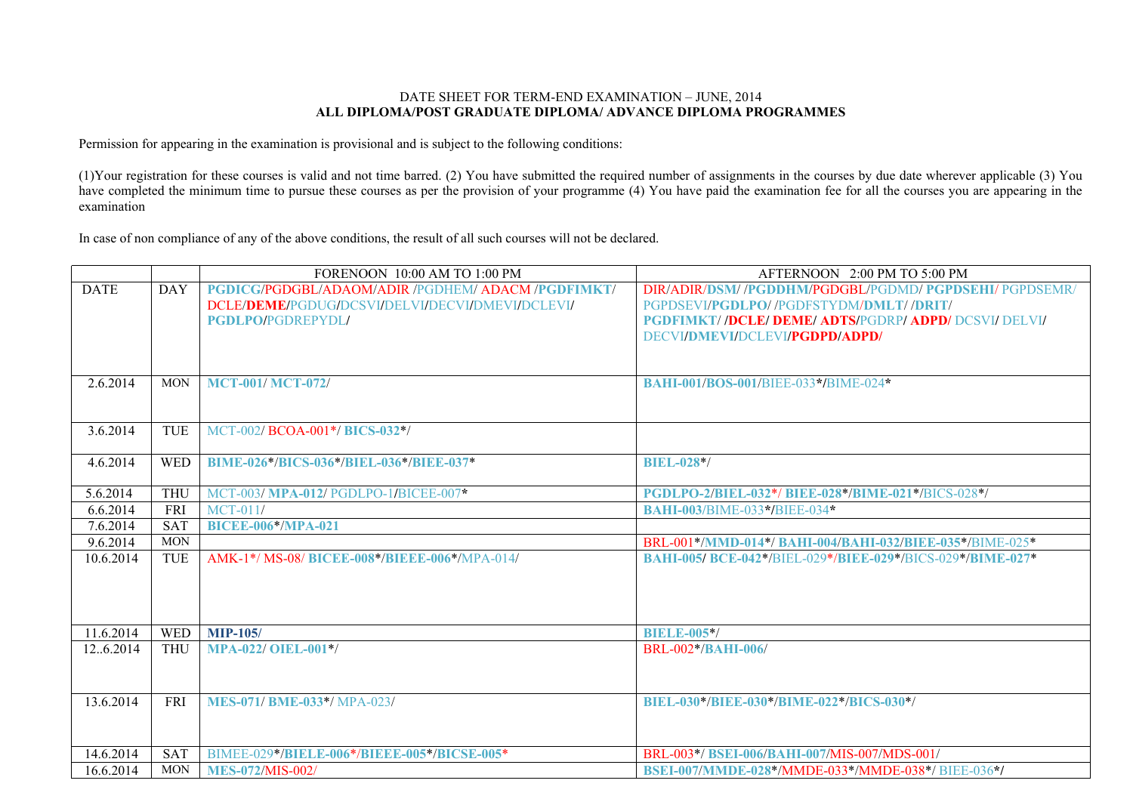## DATE SHEET FOR TERM-END EXAMINATION – JUNE, 2014 **ALL DIPLOMA/POST GRADUATE DIPLOMA/ ADVANCE DIPLOMA PROGRAMMES**

Permission for appearing in the examination is provisional and is subject to the following conditions:

(1)Your registration for these courses is valid and not time barred. (2) You have submitted the required number of assignments in the courses by due date wherever applicable (3) You have completed the minimum time to pursue these courses as per the provision of your programme (4) You have paid the examination fee for all the courses you are appearing in the examination

In case of non compliance of any of the above conditions, the result of all such courses will not be declared.

|             |            | FORENOON 10:00 AM TO 1:00 PM                           | AFTERNOON 2:00 PM TO 5:00 PM                              |
|-------------|------------|--------------------------------------------------------|-----------------------------------------------------------|
| <b>DATE</b> | <b>DAY</b> | <b>PGDICG/PGDGBL/ADAOM/ADIR/PGDHEM/ADACM/PGDFIMKT/</b> | DIR/ADIR/DSM//PGDDHM/PGDGBL/PGDMD/ PGPDSEHI/ PGPDSEMR/    |
|             |            | DCLE/DEME/PGDUG/DCSVI/DELVI/DECVI/DMEVI/DCLEVI/        | PGPDSEVI/PGDLPO//PGDFSTYDM/DMLT//DRIT/                    |
|             |            | <b>PGDLPO/PGDREPYDL/</b>                               | <b>PGDFIMKT//DCLE/DEME/ADTS/PGDRP/ADPD/DCSVI/DELVI/</b>   |
|             |            |                                                        | DECVI/DMEVI/DCLEVI/ <b>PGDPD/ADPD/</b>                    |
|             |            |                                                        |                                                           |
|             |            |                                                        |                                                           |
| 2.6.2014    | <b>MON</b> | <b>MCT-001/MCT-072/</b>                                | BAHI-001/BOS-001/BIEE-033*/BIME-024*                      |
|             |            |                                                        |                                                           |
|             |            |                                                        |                                                           |
| 3.6.2014    | <b>TUE</b> | MCT-002/BCOA-001*/BICS-032*/                           |                                                           |
|             |            |                                                        |                                                           |
| 4.6.2014    | <b>WED</b> | BIME-026*/BICS-036*/BIEL-036*/BIEE-037*                | <b>BIEL-028*/</b>                                         |
| 5.6.2014    | <b>THU</b> | MCT-003/MPA-012/PGDLPO-1/BICEE-007*                    | PGDLPO-2/BIEL-032*/BIEE-028*/BIME-021*/BICS-028*/         |
| 6.6.2014    | FRI        | $MCT-011/$                                             | <b>BAHI-003/BIME-033*/BIEE-034*</b>                       |
| 7.6.2014    | <b>SAT</b> | <b>BICEE-006*/MPA-021</b>                              |                                                           |
| 9.6.2014    | <b>MON</b> |                                                        | BRL-001*/MMD-014*/ BAHI-004/BAHI-032/BIEE-035*/BIME-025*  |
| 10.6.2014   | <b>TUE</b> | AMK-1*/ MS-08/ BICEE-008*/BIEEE-006*/MPA-014/          | BAHI-005/BCE-042*/BIEL-029*/BIEE-029*/BICS-029*/BIME-027* |
|             |            |                                                        |                                                           |
|             |            |                                                        |                                                           |
|             |            |                                                        |                                                           |
|             |            |                                                        |                                                           |
| 11.6.2014   | <b>WED</b> | <b>MIP-105/</b>                                        | <b>BIELE-005*/</b>                                        |
| 126.2014    | <b>THU</b> | <b>MPA-022/ OIEL-001*/</b>                             | <b>BRL-002*/BAHI-006/</b>                                 |
|             |            |                                                        |                                                           |
|             |            |                                                        |                                                           |
| 13.6.2014   | <b>FRI</b> | <b>MES-071/ BME-033*/ MPA-023/</b>                     | BIEL-030*/BIEE-030*/BIME-022*/BICS-030*/                  |
|             |            |                                                        |                                                           |
|             |            |                                                        |                                                           |
| 14.6.2014   | <b>SAT</b> | BIMEE-029*/BIELE-006*/BIEEE-005*/BICSE-005*            | BRL-003*/BSEI-006/BAHI-007/MIS-007/MDS-001/               |
| 16.6.2014   | <b>MON</b> | <b>MES-072/MIS-002/</b>                                | BSEI-007/MMDE-028*/MMDE-033*/MMDE-038*/BIEE-036*/         |
|             |            |                                                        |                                                           |